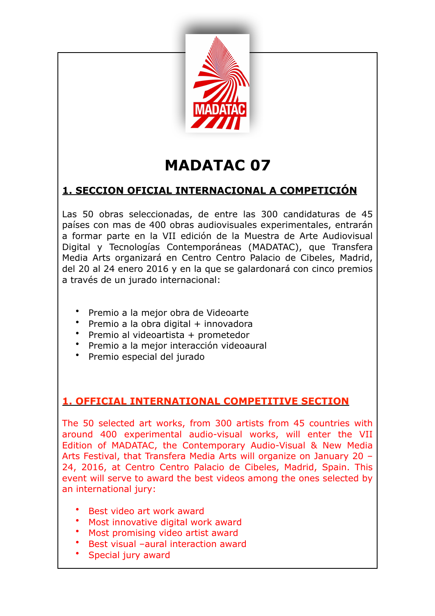

# **MADATAC 07**

## **1. SECCION OFICIAL INTERNACIONAL A COMPETICIÓN**

Las 50 obras seleccionadas, de entre las 300 candidaturas de 45 países con mas de 400 obras audiovisuales experimentales, entrarán a formar parte en la VII edición de la Muestra de Arte Audiovisual Digital y Tecnologías Contemporáneas (MADATAC), que Transfera Media Arts organizará en Centro Centro Palacio de Cibeles, Madrid, del 20 al 24 enero 2016 y en la que se galardonará con cinco premios a través de un jurado internacional:

- Premio a la mejor obra de Videoarte
- Premio a la obra digital + innovadora
- Premio al videoartista + prometedor
- Premio a la mejor interacción videoaural
- Premio especial del jurado

## **1. OFFICIAL INTERNATIONAL COMPETITIVE SECTION**

The 50 selected art works, from 300 artists from 45 countries with around 400 experimental audio-visual works, will enter the VII Edition of MADATAC, the Contemporary Audio-Visual & New Media Arts Festival, that Transfera Media Arts will organize on January 20 – 24, 2016, at Centro Centro Palacio de Cibeles, Madrid, Spain. This event will serve to award the best videos among the ones selected by an international jury:

- Best video art work award
- Most innovative digital work award
- Most promising video artist award
- Best visual –aural interaction award
- Special jury award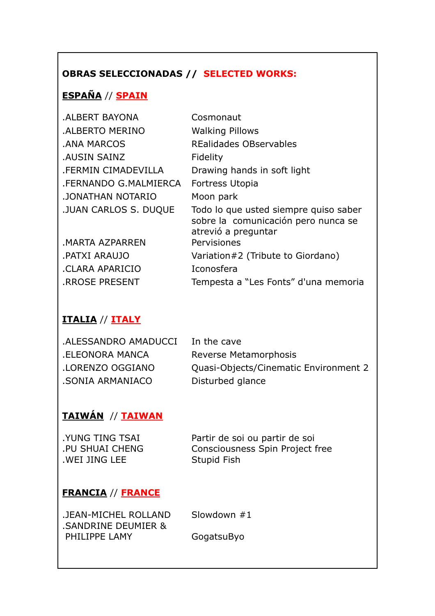# **OBRAS SELECCIONADAS // SELECTED WORKS:**

# **ESPAÑA** // **SPAIN**

| .ALBERT BAYONA               | Cosmonaut                                                                                           |
|------------------------------|-----------------------------------------------------------------------------------------------------|
| <b>.ALBERTO MERINO</b>       | <b>Walking Pillows</b>                                                                              |
| .ANA MARCOS                  | <b>REalidades OBservables</b>                                                                       |
| <b>AUSIN SAINZ</b>           | Fidelity                                                                                            |
| <b>.FERMIN CIMADEVILLA</b>   | Drawing hands in soft light                                                                         |
| .FERNANDO G.MALMIERCA        | Fortress Utopia                                                                                     |
| JONATHAN NOTARIO             | Moon park                                                                                           |
| <b>.JUAN CARLOS S. DUQUE</b> | Todo lo que usted siempre quiso saber<br>sobre la comunicación pero nunca se<br>atrevió a preguntar |
| .MARTA AZPARREN              | Pervisiones                                                                                         |
| PATXI ARAUJO.                | Variation#2 (Tribute to Giordano)                                                                   |
| .CLARA APARICIO              | Iconosfera                                                                                          |
| <b>RROSE PRESENT</b>         | Tempesta a "Les Fonts" d'una memoria                                                                |

## **ITALIA** // **ITALY**

| .ALESSANDRO AMADUCCI | In the cave                           |
|----------------------|---------------------------------------|
| ELEONORA MANCA.      | Reverse Metamorphosis                 |
| LORENZO OGGIANO.     | Quasi-Objects/Cinematic Environment 2 |
| .SONIA ARMANIACO     | Disturbed glance                      |

# **TAIWÁN** // **TAIWAN**

| <b>.YUNG TING TSAI</b> | Partir de soi ou partir de soi  |
|------------------------|---------------------------------|
| PU SHUAI CHENG         | Consciousness Spin Project free |
| .WEI JING LEE          | Stupid Fish                     |

## **FRANCIA** // **FRANCE**

| .JEAN-MICHEL ROLLAND |
|----------------------|
| .SANDRINE DEUMIER &  |
| PHILIPPE LAMY        |

Slowdown  $#1$ 

GogatsuByo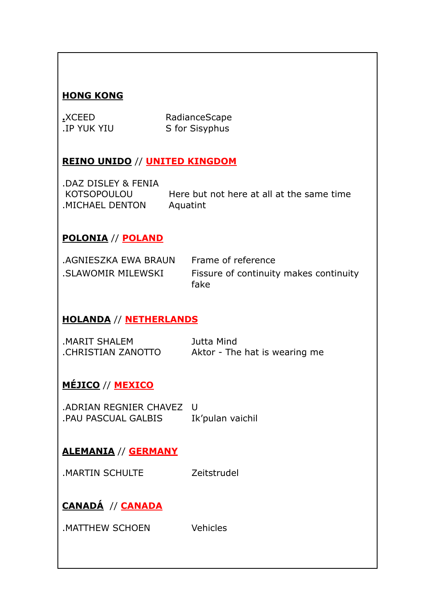#### **HONG KONG**

| .XCEED      |  |
|-------------|--|
| .IP YUK YIU |  |

RadianceScape S for Sisyphus

#### **REINO UNIDO // UNITED KINGDOM**

.DAZ DISLEY & FENIA KOTSOPOULOU .MICHAEL DENTON

Here but not here at all at the same time Aquatint

#### **POLONIA // POLAND**

| AGNIESZKA EWA BRAUN Frame of reference |                                                |
|----------------------------------------|------------------------------------------------|
| .SLAWOMIR MILEWSKI                     | Fissure of continuity makes continuity<br>fake |

#### **HOLANDA // NETHERLANDS**

| MARIT SHALEM.      | Jutta Mind                    |
|--------------------|-------------------------------|
| CHRISTIAN ZANOTTO. | Aktor - The hat is wearing me |

#### MÉJICO // MEXICO

.ADRIAN REGNIER CHAVEZ U .PAU PASCUAL GALBIS Ik'pulan vaichil

#### **ALEMANIA // GERMANY**

MARTIN SCHULTE Zeitstrudel

# CANADÁ // CANADA

MATTHEW SCHOEN Vehicles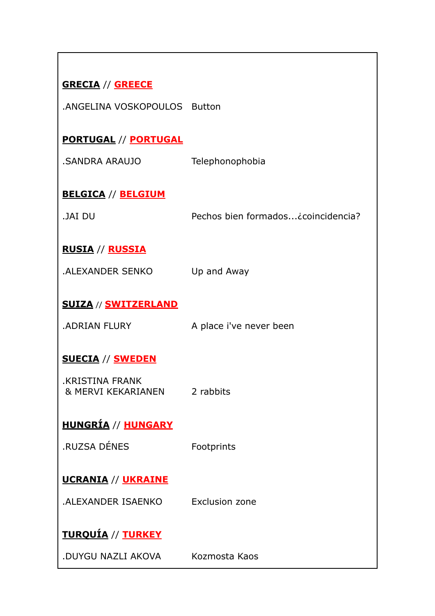| <b>GRECIA // GREECE</b>                      |                                    |
|----------------------------------------------|------------------------------------|
| .ANGELINA VOSKOPOULOS Button                 |                                    |
|                                              |                                    |
| <b>PORTUGAL // PORTUGAL</b>                  |                                    |
| SANDRA ARAUJO.                               | Telephonophobia                    |
| <b>BELGICA // BELGIUM</b>                    |                                    |
| <b>JAI DU</b>                                | Pechos bien formados¿coincidencia? |
|                                              |                                    |
| <u>RUSIA // RUSSIA</u>                       |                                    |
| <b>.ALEXANDER SENKO</b>                      | Up and Away                        |
|                                              |                                    |
| <b>SUIZA // SWITZERLAND</b>                  |                                    |
| <b>ADRIAN FLURY</b>                          | A place i've never been            |
|                                              |                                    |
| <b>SUECIA // SWEDEN</b>                      |                                    |
| <b>.KRISTINA FRANK</b><br>& MERVI KEKARIANEN | 2 rabbits                          |
|                                              |                                    |
| <u>HUNGRÍA // HUNGARY</u>                    |                                    |
| <b>.RUZSA DÉNES</b>                          | Footprints                         |
|                                              |                                    |
| <b>UCRANIA // UKRAINE</b>                    |                                    |
| .ALEXANDER ISAENKO                           | Exclusion zone                     |
|                                              |                                    |
| <u>TURQUÍA // TURKEY</u>                     |                                    |
| .DUYGU NAZLI AKOVA                           | Kozmosta Kaos                      |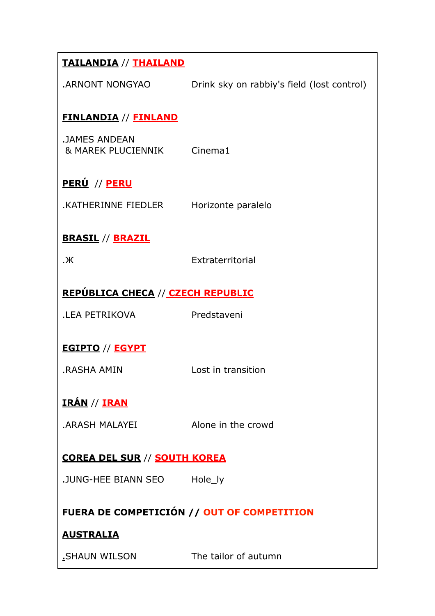| <b>TAILANDIA // THAILAND</b>                       |                                            |  |
|----------------------------------------------------|--------------------------------------------|--|
| ARNONT NONGYAO.                                    | Drink sky on rabbiy's field (lost control) |  |
| <b>FINLANDIA // FINLAND</b>                        |                                            |  |
| <b>.JAMES ANDEAN</b><br>& MAREK PLUCIENNIK Cinema1 |                                            |  |
| <u>PERÚ</u> // <u>PERU</u>                         |                                            |  |
| .KATHERINNE FIEDLER                                | Horizonte paralelo                         |  |
| <b>BRASIL // BRAZIL</b>                            |                                            |  |
| $\mathcal{K}$                                      | Extraterritorial                           |  |
| <b>REPÚBLICA CHECA // CZECH REPUBLIC</b>           |                                            |  |
| <b>.LEA PETRIKOVA</b>                              | Predstaveni                                |  |
| <b>EGIPTO // EGYPT</b>                             |                                            |  |
| .RASHA AMIN                                        | Lost in transition                         |  |
| <u>IRÁN // IRAN</u>                                |                                            |  |
| .ARASH MALAYEI                                     | Alone in the crowd                         |  |
| <b>COREA DEL SUR // SOUTH KOREA</b>                |                                            |  |
| .JUNG-HEE BIANN SEO                                | Hole_ly                                    |  |
| FUERA DE COMPETICIÓN // OUT OF COMPETITION         |                                            |  |
| <b>AUSTRALIA</b>                                   |                                            |  |
| _SHAUN WILSON                                      | The tailor of autumn                       |  |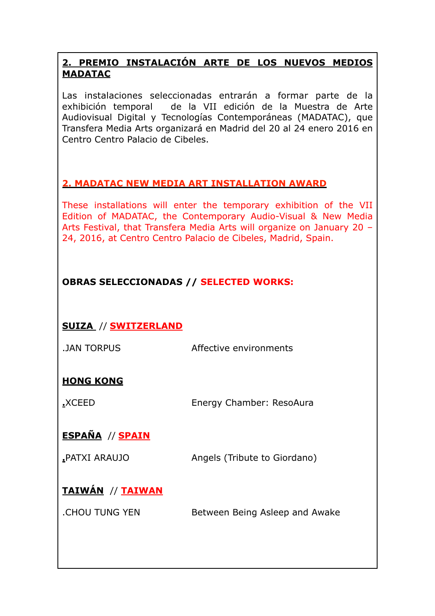### **2. PREMIO INSTALACIÓN ARTE DE LOS NUEVOS MEDIOS MADATAC**

Las instalaciones seleccionadas entrarán a formar parte de la exhibición temporal de la VII edición de la Muestra de Arte Audiovisual Digital y Tecnologías Contemporáneas (MADATAC), que Transfera Media Arts organizará en Madrid del 20 al 24 enero 2016 en Centro Centro Palacio de Cibeles.

#### **2. MADATAC NEW MEDIA ART INSTALLATION AWARD**

These installations will enter the temporary exhibition of the VII Edition of MADATAC, the Contemporary Audio-Visual & New Media Arts Festival, that Transfera Media Arts will organize on January 20 – 24, 2016, at Centro Centro Palacio de Cibeles, Madrid, Spain.

## **OBRAS SELECCIONADAS // SELECTED WORKS:**

## **SUIZA** // **SWITZERLAND**

.JAN TORPUS **Affective environments** 

## **HONG KONG**

**.**XCEED Energy Chamber: ResoAura

# **ESPAÑA** // **SPAIN**

**.**PATXI ARAUJO Angels (Tribute to Giordano)

# **TAIWÁN** // **TAIWAN**

.CHOU TUNG YENBetween Being Asleep and Awake